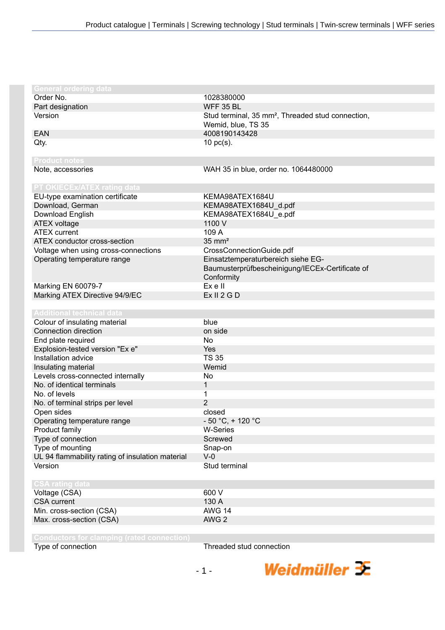| <b>General ordering data</b>                     |                                                               |
|--------------------------------------------------|---------------------------------------------------------------|
| Order No.                                        | 1028380000                                                    |
| Part designation                                 | <b>WFF 35 BL</b>                                              |
| Version                                          | Stud terminal, 35 mm <sup>2</sup> , Threaded stud connection, |
|                                                  | Wemid, blue, TS 35                                            |
| <b>EAN</b>                                       | 4008190143428                                                 |
| Qty.                                             | $10$ pc(s).                                                   |
|                                                  |                                                               |
| <b>Product notes</b>                             |                                                               |
| Note, accessories                                | WAH 35 in blue, order no. 1064480000                          |
|                                                  |                                                               |
| PT OKIECEx/ATEX rating data                      |                                                               |
| EU-type examination certificate                  | KEMA98ATEX1684U                                               |
| Download, German                                 | KEMA98ATEX1684U_d.pdf                                         |
| Download English                                 | KEMA98ATEX1684U_e.pdf                                         |
| ATEX voltage                                     | 1100 V                                                        |
| <b>ATEX</b> current                              | 109 A                                                         |
| ATEX conductor cross-section                     | $35 \text{ mm}^2$                                             |
| Voltage when using cross-connections             | CrossConnectionGuide.pdf                                      |
| Operating temperature range                      | Einsatztemperaturbereich siehe EG-                            |
|                                                  | Baumusterprüfbescheinigung/IECEx-Certificate of               |
|                                                  | Conformity                                                    |
| Marking EN 60079-7                               | Ex e II                                                       |
| Marking ATEX Directive 94/9/EC                   | Ex II 2 G D                                                   |
|                                                  |                                                               |
| <b>Additional technical data</b>                 |                                                               |
| Colour of insulating material                    | blue                                                          |
| Connection direction                             | on side                                                       |
| End plate required                               | No                                                            |
| Explosion-tested version "Ex e"                  | Yes                                                           |
| Installation advice                              | <b>TS 35</b>                                                  |
| Insulating material                              | Wemid                                                         |
| Levels cross-connected internally                | No                                                            |
| No. of identical terminals                       | 1                                                             |
| No. of levels                                    | 1                                                             |
| No. of terminal strips per level                 | $\overline{2}$                                                |
| Open sides                                       | closed                                                        |
| Operating temperature range                      | $-50 °C$ , + 120 °C                                           |
| Product family                                   | W-Series                                                      |
| Type of connection                               | Screwed                                                       |
| Type of mounting                                 | Snap-on                                                       |
| UL 94 flammability rating of insulation material | $V-0$                                                         |
| Version                                          | Stud terminal                                                 |
|                                                  |                                                               |
| <b>CSA rating data</b>                           |                                                               |
| Voltage (CSA)                                    | 600 V                                                         |
| <b>CSA</b> current                               | 130 A                                                         |
|                                                  | <b>AWG 14</b>                                                 |
| Min. cross-section (CSA)                         |                                                               |
| Max. cross-section (CSA)                         | AWG <sub>2</sub>                                              |
|                                                  |                                                               |
|                                                  |                                                               |

Type of connection Type of connection

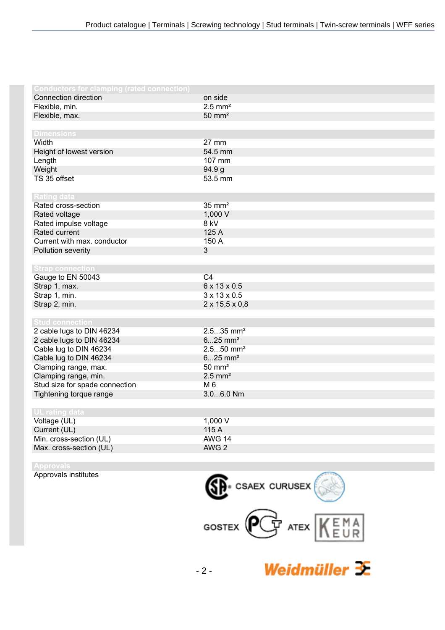| <b>Conductors for clamping (rated connection)</b> |                            |
|---------------------------------------------------|----------------------------|
| Connection direction                              | on side                    |
| Flexible, min.                                    | $2.5$ mm <sup>2</sup>      |
| Flexible, max.                                    | $50 \text{ mm}^2$          |
|                                                   |                            |
| <b>Dimensions</b>                                 |                            |
| Width                                             | 27 mm                      |
| Height of lowest version                          | 54.5 mm                    |
| Length                                            | 107 mm                     |
| Weight                                            | 94.9 <sub>g</sub>          |
| TS 35 offset                                      | 53.5 mm                    |
|                                                   |                            |
| <b>Rating data</b>                                |                            |
| Rated cross-section                               | $35 \text{ mm}^2$          |
| Rated voltage                                     | 1,000 V                    |
| Rated impulse voltage                             | 8 kV                       |
| Rated current                                     | 125 A                      |
| Current with max. conductor                       | 150 A                      |
| Pollution severity                                | 3                          |
|                                                   |                            |
| <b>Strap connection</b>                           |                            |
| Gauge to EN 50043                                 | C <sub>4</sub>             |
| Strap 1, max.                                     | 6 x 13 x 0.5               |
| Strap 1, min.                                     | $3 \times 13 \times 0.5$   |
| Strap 2, min.                                     | $2 \times 15,5 \times 0,8$ |
|                                                   |                            |
| <b>Stud connection</b>                            |                            |
| 2 cable lugs to DIN 46234                         | $2.535$ mm <sup>2</sup>    |
| 2 cable lugs to DIN 46234                         | $625$ mm <sup>2</sup>      |
| Cable lug to DIN 46234                            | $2.550$ mm <sup>2</sup>    |
| Cable lug to DIN 46234                            | $625$ mm <sup>2</sup>      |
| Clamping range, max.                              | $50 \text{ mm}^2$          |
| Clamping range, min.                              | $2.5$ mm <sup>2</sup>      |
| Stud size for spade connection                    | M 6                        |
| Tightening torque range                           | 3.06.0 Nm                  |
|                                                   |                            |
| <b>UL rating data</b>                             |                            |
| Voltage (UL)                                      | 1,000 V                    |
| Current (UL)                                      | 115 A                      |
| Min. cross-section (UL)                           | <b>AWG 14</b>              |
| Max. cross-section (UL)                           | AWG 2                      |
|                                                   |                            |

Approvals institutes